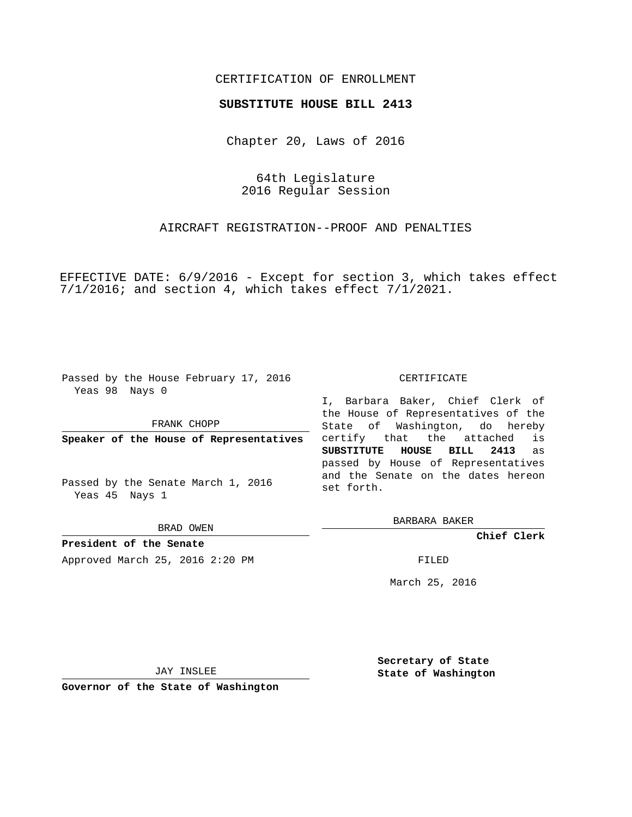# CERTIFICATION OF ENROLLMENT

### **SUBSTITUTE HOUSE BILL 2413**

Chapter 20, Laws of 2016

64th Legislature 2016 Regular Session

AIRCRAFT REGISTRATION--PROOF AND PENALTIES

EFFECTIVE DATE: 6/9/2016 - Except for section 3, which takes effect 7/1/2016; and section 4, which takes effect 7/1/2021.

Passed by the House February 17, 2016 Yeas 98 Nays 0

FRANK CHOPP

**Speaker of the House of Representatives**

Passed by the Senate March 1, 2016 Yeas 45 Nays 1

BRAD OWEN

**President of the Senate** Approved March 25, 2016 2:20 PM FILED

#### CERTIFICATE

I, Barbara Baker, Chief Clerk of the House of Representatives of the State of Washington, do hereby certify that the attached is **SUBSTITUTE HOUSE BILL 2413** as passed by House of Representatives and the Senate on the dates hereon set forth.

BARBARA BAKER

**Chief Clerk**

March 25, 2016

JAY INSLEE

**Governor of the State of Washington**

**Secretary of State State of Washington**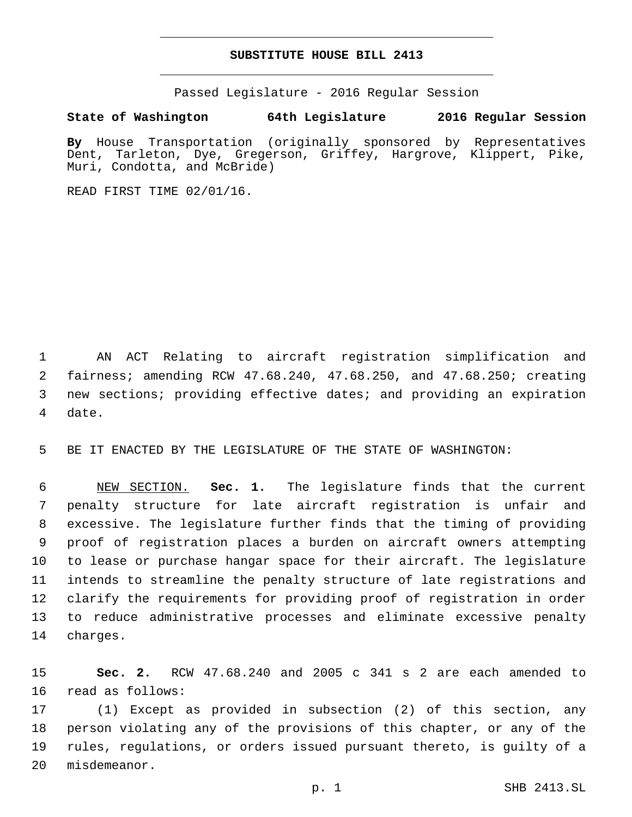## **SUBSTITUTE HOUSE BILL 2413**

Passed Legislature - 2016 Regular Session

# **State of Washington 64th Legislature 2016 Regular Session**

**By** House Transportation (originally sponsored by Representatives Dent, Tarleton, Dye, Gregerson, Griffey, Hargrove, Klippert, Pike, Muri, Condotta, and McBride)

READ FIRST TIME 02/01/16.

 AN ACT Relating to aircraft registration simplification and fairness; amending RCW 47.68.240, 47.68.250, and 47.68.250; creating new sections; providing effective dates; and providing an expiration 4 date.

BE IT ENACTED BY THE LEGISLATURE OF THE STATE OF WASHINGTON:

 NEW SECTION. **Sec. 1.** The legislature finds that the current penalty structure for late aircraft registration is unfair and excessive. The legislature further finds that the timing of providing proof of registration places a burden on aircraft owners attempting to lease or purchase hangar space for their aircraft. The legislature intends to streamline the penalty structure of late registrations and clarify the requirements for providing proof of registration in order to reduce administrative processes and eliminate excessive penalty charges.

 **Sec. 2.** RCW 47.68.240 and 2005 c 341 s 2 are each amended to 16 read as follows:

 (1) Except as provided in subsection (2) of this section, any person violating any of the provisions of this chapter, or any of the rules, regulations, or orders issued pursuant thereto, is guilty of a 20 misdemeanor.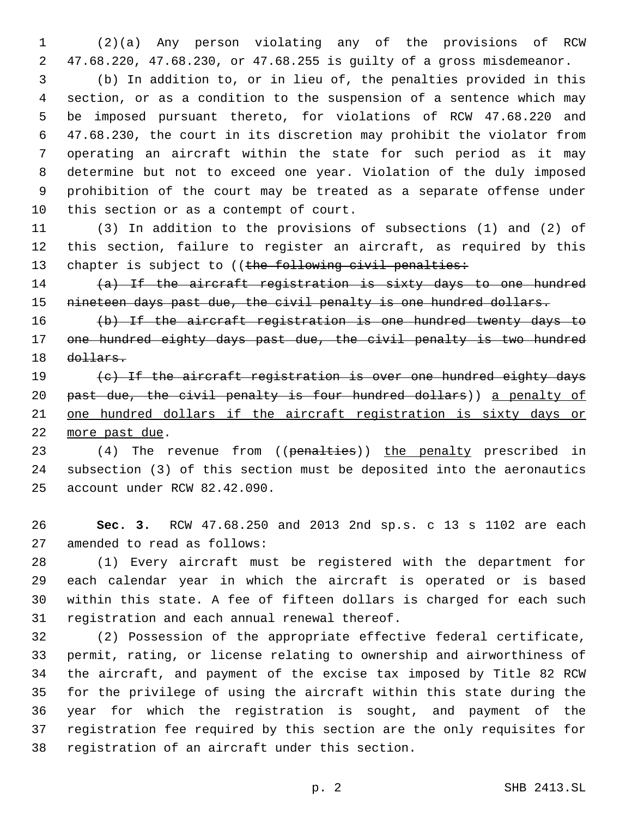(2)(a) Any person violating any of the provisions of RCW 47.68.220, 47.68.230, or 47.68.255 is guilty of a gross misdemeanor.

 (b) In addition to, or in lieu of, the penalties provided in this section, or as a condition to the suspension of a sentence which may be imposed pursuant thereto, for violations of RCW 47.68.220 and 47.68.230, the court in its discretion may prohibit the violator from operating an aircraft within the state for such period as it may determine but not to exceed one year. Violation of the duly imposed prohibition of the court may be treated as a separate offense under 10 this section or as a contempt of court.

 (3) In addition to the provisions of subsections (1) and (2) of this section, failure to register an aircraft, as required by this 13 chapter is subject to ((the following civil penalties:

 (a) If the aircraft registration is sixty days to one hundred nineteen days past due, the civil penalty is one hundred dollars.

 (b) If the aircraft registration is one hundred twenty days to one hundred eighty days past due, the civil penalty is two hundred dollars.

19 (c) If the aircraft registration is over one hundred eighty days 20 past due, the civil penalty is four hundred dollars)) a penalty of one hundred dollars if the aircraft registration is sixty days or 22 more past due.

23 (4) The revenue from ((penalties)) the penalty prescribed in subsection (3) of this section must be deposited into the aeronautics 25 account under RCW 82.42.090.

 **Sec. 3.** RCW 47.68.250 and 2013 2nd sp.s. c 13 s 1102 are each 27 amended to read as follows:

 (1) Every aircraft must be registered with the department for each calendar year in which the aircraft is operated or is based within this state. A fee of fifteen dollars is charged for each such 31 registration and each annual renewal thereof.

 (2) Possession of the appropriate effective federal certificate, permit, rating, or license relating to ownership and airworthiness of the aircraft, and payment of the excise tax imposed by Title 82 RCW for the privilege of using the aircraft within this state during the year for which the registration is sought, and payment of the registration fee required by this section are the only requisites for 38 registration of an aircraft under this section.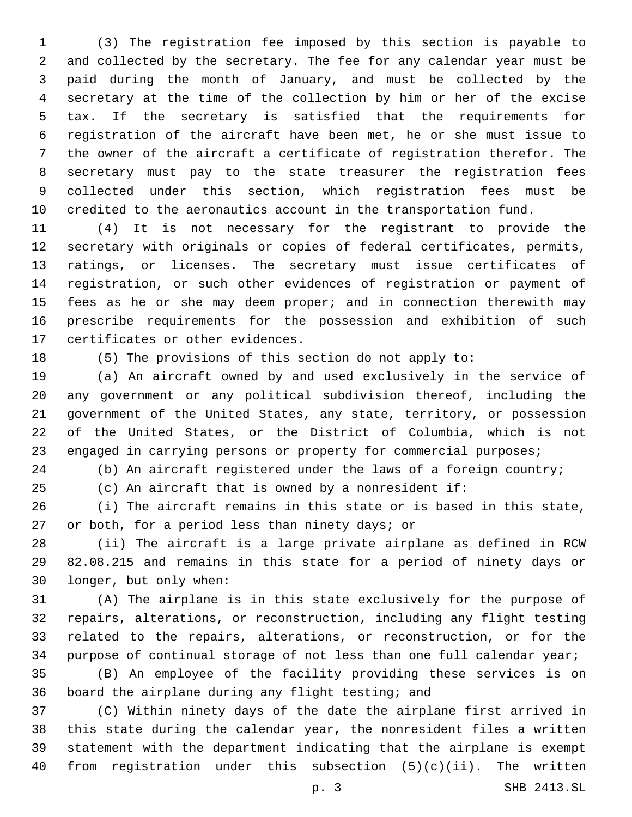(3) The registration fee imposed by this section is payable to and collected by the secretary. The fee for any calendar year must be paid during the month of January, and must be collected by the secretary at the time of the collection by him or her of the excise tax. If the secretary is satisfied that the requirements for registration of the aircraft have been met, he or she must issue to the owner of the aircraft a certificate of registration therefor. The secretary must pay to the state treasurer the registration fees collected under this section, which registration fees must be credited to the aeronautics account in the transportation fund.

 (4) It is not necessary for the registrant to provide the secretary with originals or copies of federal certificates, permits, ratings, or licenses. The secretary must issue certificates of registration, or such other evidences of registration or payment of 15 fees as he or she may deem proper; and in connection therewith may prescribe requirements for the possession and exhibition of such 17 certificates or other evidences.

(5) The provisions of this section do not apply to:

 (a) An aircraft owned by and used exclusively in the service of any government or any political subdivision thereof, including the government of the United States, any state, territory, or possession of the United States, or the District of Columbia, which is not 23 engaged in carrying persons or property for commercial purposes;

(b) An aircraft registered under the laws of a foreign country;

(c) An aircraft that is owned by a nonresident if:

 (i) The aircraft remains in this state or is based in this state, 27 or both, for a period less than ninety days; or

 (ii) The aircraft is a large private airplane as defined in RCW 82.08.215 and remains in this state for a period of ninety days or 30 longer, but only when:

 (A) The airplane is in this state exclusively for the purpose of repairs, alterations, or reconstruction, including any flight testing related to the repairs, alterations, or reconstruction, or for the purpose of continual storage of not less than one full calendar year;

 (B) An employee of the facility providing these services is on 36 board the airplane during any flight testing; and

 (C) Within ninety days of the date the airplane first arrived in this state during the calendar year, the nonresident files a written statement with the department indicating that the airplane is exempt from registration under this subsection (5)(c)(ii). The written

p. 3 SHB 2413.SL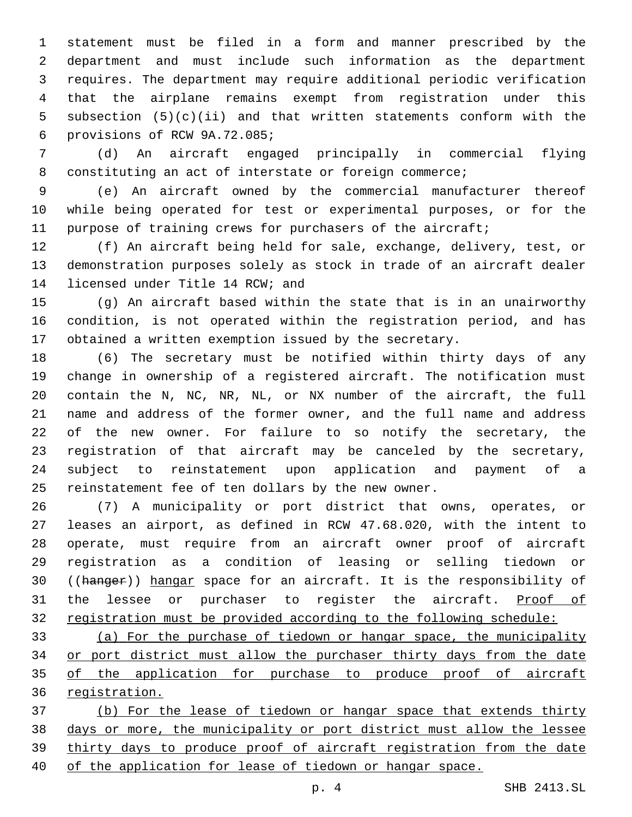statement must be filed in a form and manner prescribed by the department and must include such information as the department requires. The department may require additional periodic verification that the airplane remains exempt from registration under this subsection (5)(c)(ii) and that written statements conform with the provisions of RCW 9A.72.085;6

 (d) An aircraft engaged principally in commercial flying 8 constituting an act of interstate or foreign commerce;

 (e) An aircraft owned by the commercial manufacturer thereof while being operated for test or experimental purposes, or for the purpose of training crews for purchasers of the aircraft;

 (f) An aircraft being held for sale, exchange, delivery, test, or demonstration purposes solely as stock in trade of an aircraft dealer 14 licensed under Title 14 RCW; and

 (g) An aircraft based within the state that is in an unairworthy condition, is not operated within the registration period, and has obtained a written exemption issued by the secretary.

 (6) The secretary must be notified within thirty days of any change in ownership of a registered aircraft. The notification must contain the N, NC, NR, NL, or NX number of the aircraft, the full name and address of the former owner, and the full name and address of the new owner. For failure to so notify the secretary, the registration of that aircraft may be canceled by the secretary, subject to reinstatement upon application and payment of a reinstatement fee of ten dollars by the new owner.

 (7) A municipality or port district that owns, operates, or leases an airport, as defined in RCW 47.68.020, with the intent to operate, must require from an aircraft owner proof of aircraft registration as a condition of leasing or selling tiedown or 30 ((hanger)) hangar space for an aircraft. It is the responsibility of 31 the lessee or purchaser to register the aircraft. Proof of registration must be provided according to the following schedule:

 (a) For the purchase of tiedown or hangar space, the municipality or port district must allow the purchaser thirty days from the date 35 of the application for purchase to produce proof of aircraft registration.

 (b) For the lease of tiedown or hangar space that extends thirty days or more, the municipality or port district must allow the lessee thirty days to produce proof of aircraft registration from the date of the application for lease of tiedown or hangar space.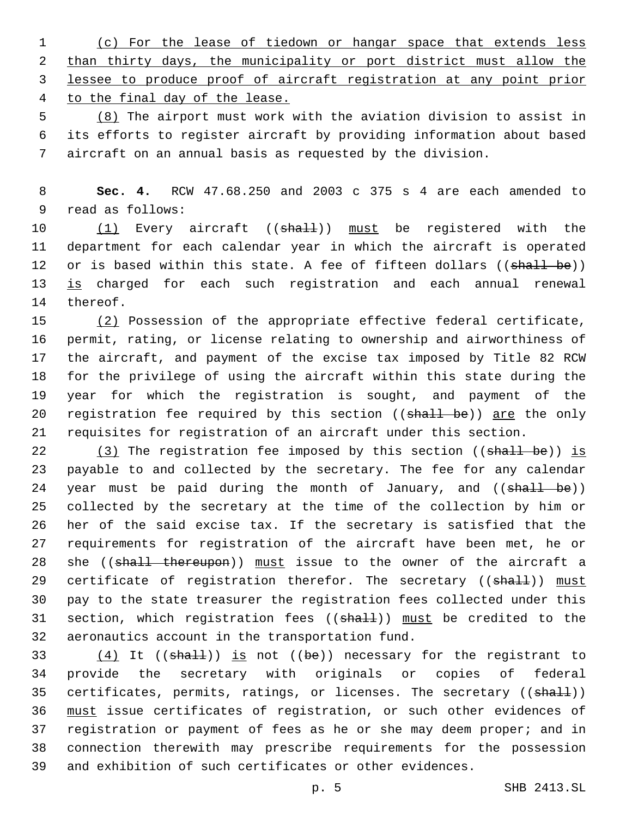(c) For the lease of tiedown or hangar space that extends less than thirty days, the municipality or port district must allow the lessee to produce proof of aircraft registration at any point prior to the final day of the lease.

5 (8) The airport must work with the aviation division to assist in 6 its efforts to register aircraft by providing information about based 7 aircraft on an annual basis as requested by the division.

8 **Sec. 4.** RCW 47.68.250 and 2003 c 375 s 4 are each amended to 9 read as follows:

10 (1) Every aircraft ((shall)) must be registered with the 11 department for each calendar year in which the aircraft is operated 12 or is based within this state. A fee of fifteen dollars ((shall be)) 13 is charged for each such registration and each annual renewal 14 thereof.

15 (2) Possession of the appropriate effective federal certificate, permit, rating, or license relating to ownership and airworthiness of the aircraft, and payment of the excise tax imposed by Title 82 RCW for the privilege of using the aircraft within this state during the year for which the registration is sought, and payment of the 20 registration fee required by this section ((shall be)) are the only requisites for registration of an aircraft under this section.

22  $(3)$  The registration fee imposed by this section ((shall be)) is 23 payable to and collected by the secretary. The fee for any calendar 24 year must be paid during the month of January, and ((shall be)) 25 collected by the secretary at the time of the collection by him or 26 her of the said excise tax. If the secretary is satisfied that the 27 requirements for registration of the aircraft have been met, he or 28 she ((shall thereupon)) must issue to the owner of the aircraft a 29 certificate of registration therefor. The secretary ((shall)) must 30 pay to the state treasurer the registration fees collected under this 31 section, which registration fees ((shall)) must be credited to the 32 aeronautics account in the transportation fund.

 $(4)$  It ((shall)) is not ((be)) necessary for the registrant to provide the secretary with originals or copies of federal 35 certificates, permits, ratings, or licenses. The secretary ((shall)) must issue certificates of registration, or such other evidences of registration or payment of fees as he or she may deem proper; and in connection therewith may prescribe requirements for the possession and exhibition of such certificates or other evidences.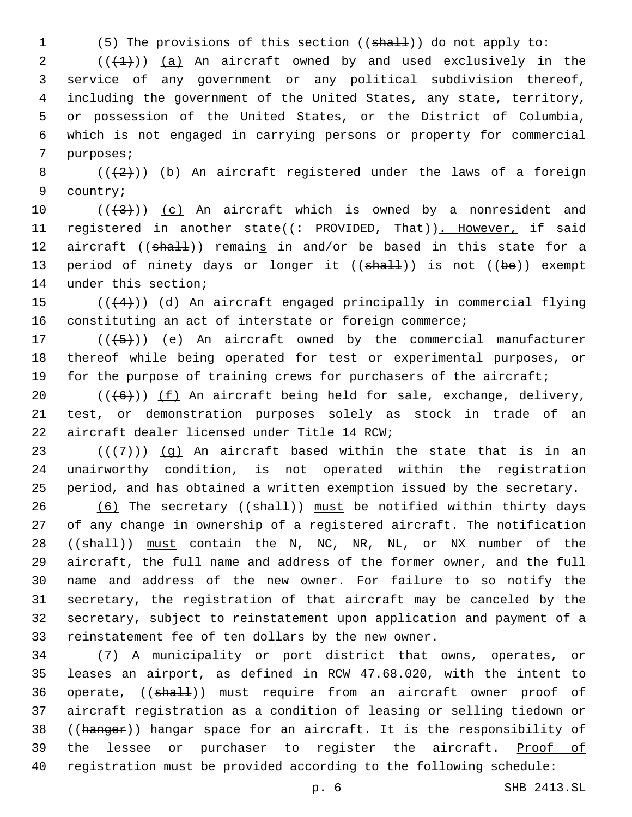1 (5) The provisions of this section ((shall)) do not apply to:

 $((+1))$   $(a)$  An aircraft owned by and used exclusively in the service of any government or any political subdivision thereof, including the government of the United States, any state, territory, or possession of the United States, or the District of Columbia, which is not engaged in carrying persons or property for commercial 7 purposes;

8  $((+2))$  (b) An aircraft registered under the laws of a foreign 9 country;

10  $((+3+))$  (c) An aircraft which is owned by a nonresident and 11 registered in another state((: PROVIDED, That)). However, if said 12 aircraft ((shall)) remains in and/or be based in this state for a 13 period of ninety days or longer it  $((shall))$  is not  $((be))$  exempt 14 under this section;

15  $((+4))$   $(d)$  An aircraft engaged principally in commercial flying 16 constituting an act of interstate or foreign commerce;

17  $((+5+))$   $(e)$  An aircraft owned by the commercial manufacturer 18 thereof while being operated for test or experimental purposes, or 19 for the purpose of training crews for purchasers of the aircraft;

20  $((+6+))$  (f) An aircraft being held for sale, exchange, delivery, 21 test, or demonstration purposes solely as stock in trade of an 22 aircraft dealer licensed under Title 14 RCW;

23  $((+7+))$  (g) An aircraft based within the state that is in an 24 unairworthy condition, is not operated within the registration 25 period, and has obtained a written exemption issued by the secretary.

 $(6)$  The secretary (( $shall$ )) must be notified within thirty days of any change in ownership of a registered aircraft. The notification 28 ((shall)) must contain the N, NC, NR, NL, or NX number of the aircraft, the full name and address of the former owner, and the full name and address of the new owner. For failure to so notify the secretary, the registration of that aircraft may be canceled by the secretary, subject to reinstatement upon application and payment of a reinstatement fee of ten dollars by the new owner.

34 (7) A municipality or port district that owns, operates, or 35 leases an airport, as defined in RCW 47.68.020, with the intent to 36 operate, ((shall)) must require from an aircraft owner proof of 37 aircraft registration as a condition of leasing or selling tiedown or 38 ((hanger)) hangar space for an aircraft. It is the responsibility of 39 the lessee or purchaser to register the aircraft. Proof of 40 registration must be provided according to the following schedule: